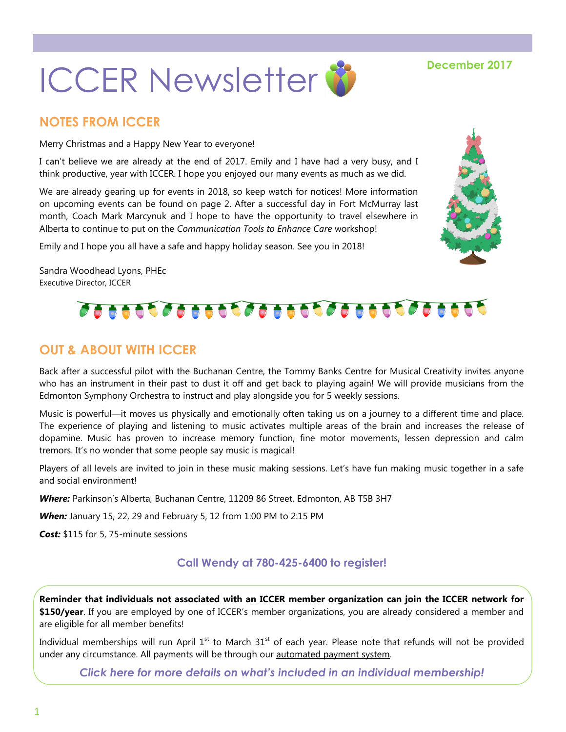

# **NOTES FROM ICCER**

Merry Christmas and a Happy New Year to everyone!

I can't believe we are already at the end of 2017. Emily and I have had a very busy, and I think productive, year with ICCER. I hope you enjoyed our many events as much as we did.

We are already gearing up for events in 2018, so keep watch for notices! More information on upcoming events can be found on page 2. After a successful day in Fort McMurray last month, Coach Mark Marcynuk and I hope to have the opportunity to travel elsewhere in Alberta to continue to put on the *Communication Tools to Enhance Care* workshop!

Emily and I hope you all have a safe and happy holiday season. See you in 2018!

Sandra Woodhead Lyons, PHEc Executive Director, ICCER

# 

## **OUT & ABOUT WITH ICCER**

Back after a successful pilot with the Buchanan Centre, the Tommy Banks Centre for Musical Creativity invites anyone who has an instrument in their past to dust it off and get back to playing again! We will provide musicians from the Edmonton Symphony Orchestra to instruct and play alongside you for 5 weekly sessions.

Music is powerful—it moves us physically and emotionally often taking us on a journey to a different time and place. The experience of playing and listening to music activates multiple areas of the brain and increases the release of dopamine. Music has proven to increase memory function, fine motor movements, lessen depression and calm tremors. It's no wonder that some people say music is magical!

Players of all levels are invited to join in these music making sessions. Let's have fun making music together in a safe and social environment!

*Where:* Parkinson's Alberta, Buchanan Centre, 11209 86 Street, Edmonton, AB T5B 3H7

*When:* January 15, 22, 29 and February 5, 12 from 1:00 PM to 2:15 PM

*Cost:* \$115 for 5, 75-minute sessions

### **Call Wendy at 780-425-6400 to register!**

**Reminder that individuals not associated with an ICCER member organization can join the ICCER network for \$150/year**. If you are employed by one of ICCER's member organizations, you are already considered a member and are eligible for all member benefits!

Individual memberships will run April  $1<sup>st</sup>$  to March  $31<sup>st</sup>$  of each year. Please note that refunds will not be provided under any circumstance. All payments will be through our [automated payment system.](https://payment.augustana.ualberta.ca/store/Rehab+Medicine+-+ICCER+Store/)

*[Click here for more details on what's included in an individual membership!](http://iccer.ca/im.html)*

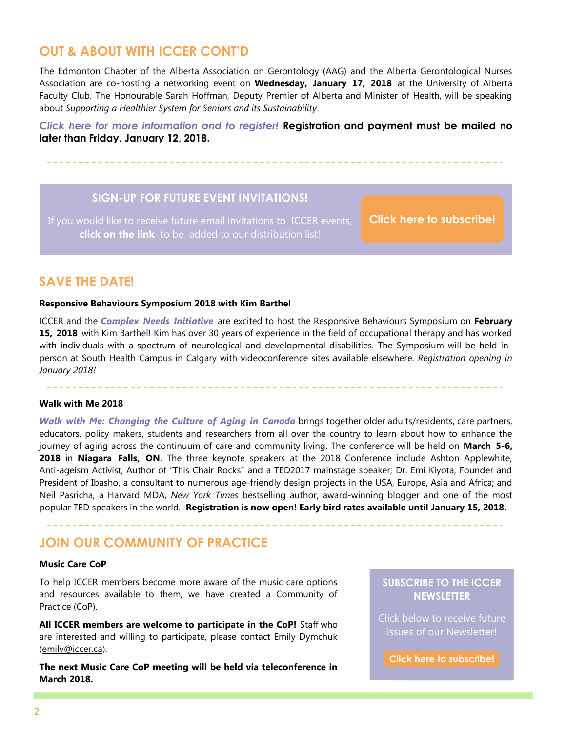### **OUT & ABOUT WITH ICCER CONT'D**

The Edmonton Chapter of the Alberta Association on Gerontology (AAG) and the Alberta Gerontological Nurses Association are co-hosting a networking event on **Wednesday, January 17, 2018** at the University of Alberta Faculty Club. The Honourable Sarah Hoffman, Deputy Premier of Alberta and Minister of Health, will be speaking about *Supporting a Healthier System for Seniors and its Sustainability*.

*[Click here for more information and to register!](http://iccer.ca/pdf/events/AAG_AGNA_Jan18_dinner.pdf)* **Registration and payment must be mailed no later than Friday, January 12, 2018.** 

### **SIGN-UP FOR FUTURE EVENT INVITATIONS!**

**click on the link** to be added to our distribution list!

**[Click here to subscribe!](https://visitor.r20.constantcontact.com/manage/optin?v=001MqUcqqvjwLD850nipaor0HtdI1Y9d8ED2u9ivDzRV7Gp5uTyf2p54vfsufOQXL7BcGZnnLM-9yRAw3TIqncd_CNV4yZzfE9gE8XUs-KE6So%3D)**

### **SAVE THE DATE!**

#### **Responsive Behaviours Symposium 2018 with Kim Barthel**

ICCER and the *[Complex Needs Initiative](http://www.albertahealthservices.ca/info/Page9213.aspx)* are excited to host the Responsive Behaviours Symposium on **February 15, 2018** with Kim Barthel! Kim has over 30 years of experience in the field of occupational therapy and has worked with individuals with a spectrum of neurological and developmental disabilities. The Symposium will be held inperson at South Health Campus in Calgary with videoconference sites available elsewhere. *Registration opening in January 2018!*

#### **Walk with Me 2018**

*[Walk with Me: Changing the Culture of Aging in Canada](http://www.the-ria.ca/walkwithme/)* brings together older adults/residents, care partners, educators, policy makers, students and researchers from all over the country to learn about how to enhance the journey of aging across the continuum of care and community living. The conference will be held on **March 5-6, 2018** in **Niagara Falls, ON**. The three keynote speakers at the 2018 Conference include Ashton Applewhite, Anti-ageism Activist, Author of "This Chair Rocks" and a TED2017 mainstage speaker; Dr. Emi Kiyota, Founder and President of Ibasho, a consultant to numerous age-friendly design projects in the USA, Europe, Asia and Africa; and Neil Pasricha, a Harvard MDA, *New York Times* bestselling author, award-winning blogger and one of the most popular TED speakers in the world. **Registration is now open! Early bird rates available until January 15, 2018.** 

### **JOIN OUR COMMUNITY OF PRACTICE**

#### **Music Care CoP**

To help ICCER members become more aware of the music care options and resources available to them, we have created a Community of Practice (CoP).

**All ICCER members are welcome to participate in the CoP!** Staff who are interested and willing to participate, please contact Emily Dymchuk ([emily@iccer.ca\).](mailto:emily@iccer.ca)

**The next Music Care CoP meeting will be held via teleconference in March 2018.** 

### **SUBSCRIBE TO THE ICCER NEWSLETTER**

Click below to receive future issues of our Newsletter!

**[Click here to subscribe!](https://visitor.r20.constantcontact.com/manage/optin?v=001MqUcqqvjwLD850nipaor0JfDCl8lWHPtLmDKE1oKVPadFtCKS64MCgzWnGgYOX6ySCwPrvn1SoXo9nCXIBnYp6cVIXF92mMQ7-obGrUeUfo%3D)**